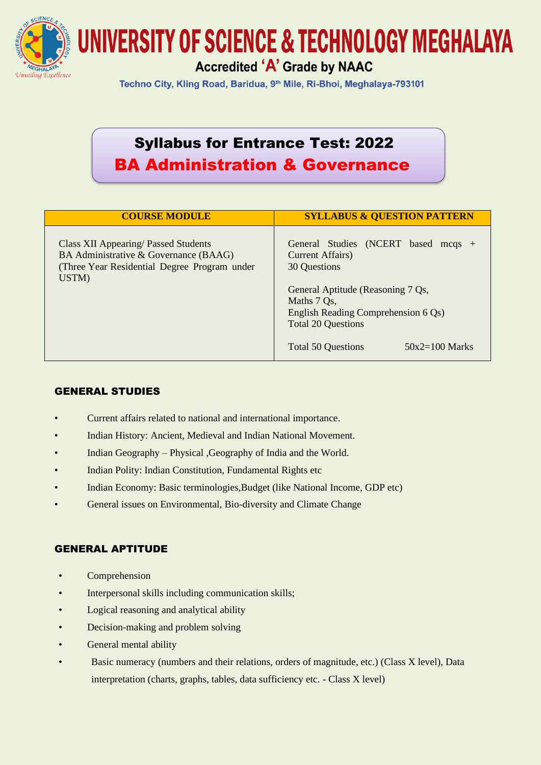

Techno City, Kling Road, Baridua, 9<sup>th</sup> Mile, Ri-Bhoi, Meghalaya-793101

## Syllabus for Entrance Test: 2022 BA Administration & Governance

| <b>COURSE MODULE</b>                                                                                                                          | <b>SYLLABUS &amp; QUESTION PATTERN</b>                                                                                                                                                                                                           |
|-----------------------------------------------------------------------------------------------------------------------------------------------|--------------------------------------------------------------------------------------------------------------------------------------------------------------------------------------------------------------------------------------------------|
| <b>Class XII Appearing/ Passed Students</b><br>BA Administrative & Governance (BAAG)<br>(Three Year Residential Degree Program under<br>USTM) | General Studies (NCERT based mcqs +<br>Current Affairs)<br>30 Questions<br>General Aptitude (Reasoning 7 Qs,<br>Maths 7 Qs,<br>English Reading Comprehension 6 Qs)<br><b>Total 20 Questions</b><br><b>Total 50 Questions</b><br>$50x2=100$ Marks |

## GENERAL STUDIES

- Current affairs related to national and international importance.
- Indian History: Ancient, Medieval and Indian National Movement.
- Indian Geography Physical ,Geography of India and the World.
- Indian Polity: Indian Constitution, Fundamental Rights etc
- Indian Economy: Basic terminologies,Budget (like National Income, GDP etc)
- General issues on Environmental, Bio-diversity and Climate Change

## GENERAL APTITUDE

- **Comprehension**
- Interpersonal skills including communication skills;
- Logical reasoning and analytical ability
- Decision-making and problem solving
- General mental ability
- Basic numeracy (numbers and their relations, orders of magnitude, etc.) (Class X level), Data interpretation (charts, graphs, tables, data sufficiency etc. - Class X level)